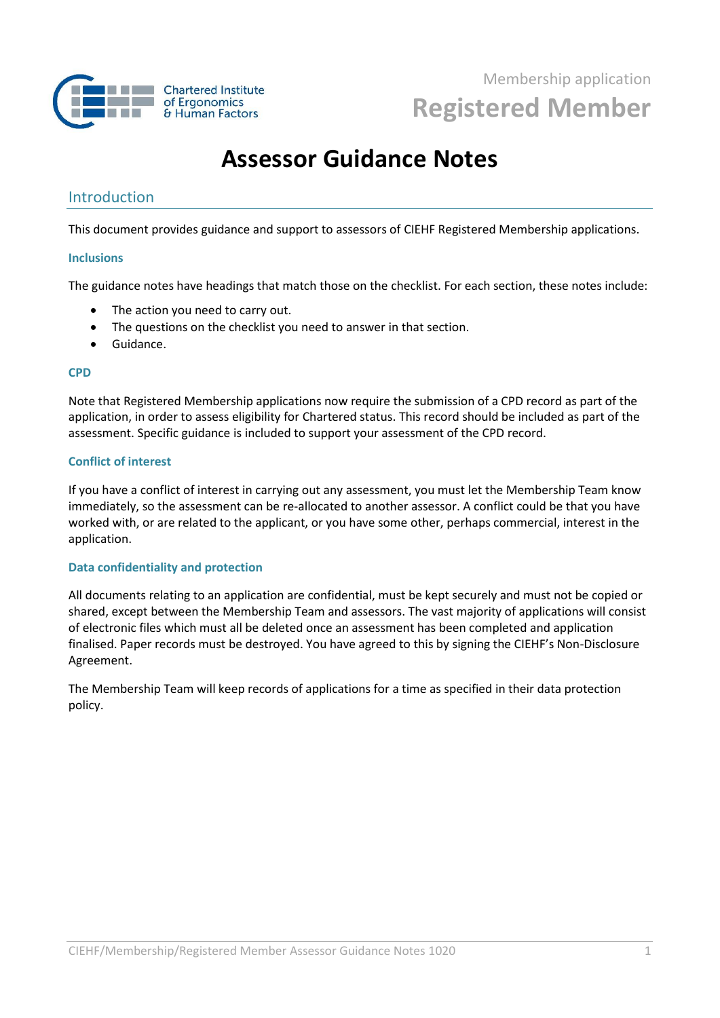

# **Assessor Guidance Notes**

## Introduction

This document provides guidance and support to assessors of CIEHF Registered Membership applications.

### **Inclusions**

The guidance notes have headings that match those on the checklist. For each section, these notes include:

- The action you need to carry out.
- The questions on the checklist you need to answer in that section.
- Guidance.

#### **CPD**

Note that Registered Membership applications now require the submission of a CPD record as part of the application, in order to assess eligibility for Chartered status. This record should be included as part of the assessment. Specific guidance is included to support your assessment of the CPD record.

## **Conflict of interest**

If you have a conflict of interest in carrying out any assessment, you must let the Membership Team know immediately, so the assessment can be re-allocated to another assessor. A conflict could be that you have worked with, or are related to the applicant, or you have some other, perhaps commercial, interest in the application.

## **Data confidentiality and protection**

All documents relating to an application are confidential, must be kept securely and must not be copied or shared, except between the Membership Team and assessors. The vast majority of applications will consist of electronic files which must all be deleted once an assessment has been completed and application finalised. Paper records must be destroyed. You have agreed to this by signing the CIEHF's Non-Disclosure Agreement.

The Membership Team will keep records of applications for a time as specified in their data protection policy.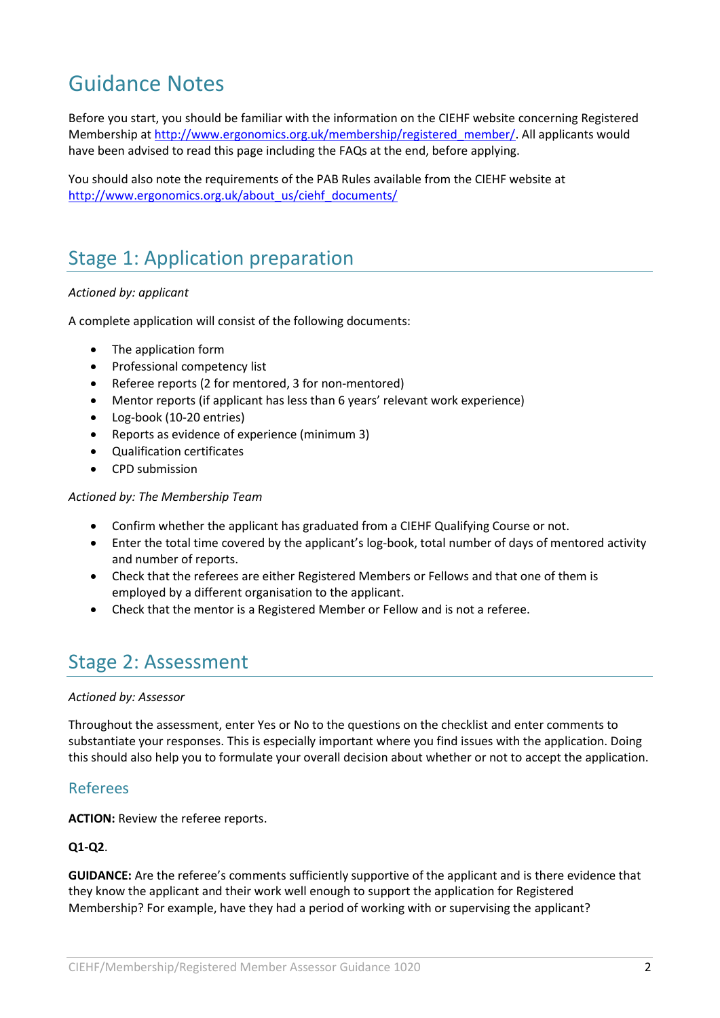# Guidance Notes

Before you start, you should be familiar with the information on the CIEHF website concerning Registered Membership at [http://www.ergonomics.org.uk/membership/registered\\_member/.](http://www.ergonomics.org.uk/membership/registered_member/) All applicants would have been advised to read this page including the FAQs at the end, before applying.

You should also note the requirements of the PAB Rules available from the CIEHF website at [http://www.ergonomics.org.uk/about\\_us/ciehf\\_documents/](http://www.ergonomics.org.uk/about_us/ciehf_documents/)

## Stage 1: Application preparation

## *Actioned by: applicant*

A complete application will consist of the following documents:

- The application form
- Professional competency list
- Referee reports (2 for mentored, 3 for non-mentored)
- Mentor reports (if applicant has less than 6 years' relevant work experience)
- Log-book (10-20 entries)
- Reports as evidence of experience (minimum 3)
- Qualification certificates
- CPD submission

### *Actioned by: The Membership Team*

- Confirm whether the applicant has graduated from a CIEHF Qualifying Course or not.
- Enter the total time covered by the applicant's log-book, total number of days of mentored activity and number of reports.
- Check that the referees are either Registered Members or Fellows and that one of them is employed by a different organisation to the applicant.
- Check that the mentor is a Registered Member or Fellow and is not a referee.

## Stage 2: Assessment

#### *Actioned by: Assessor*

Throughout the assessment, enter Yes or No to the questions on the checklist and enter comments to substantiate your responses. This is especially important where you find issues with the application. Doing this should also help you to formulate your overall decision about whether or not to accept the application.

## Referees

**ACTION:** Review the referee reports.

## **Q1-Q2**.

**GUIDANCE:** Are the referee's comments sufficiently supportive of the applicant and is there evidence that they know the applicant and their work well enough to support the application for Registered Membership? For example, have they had a period of working with or supervising the applicant?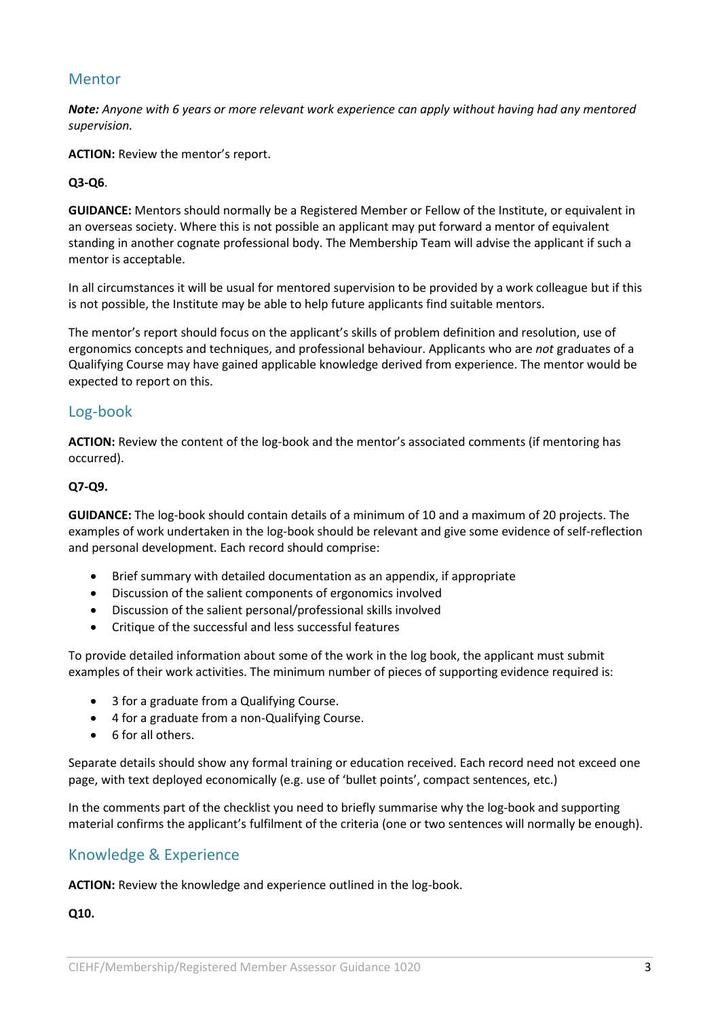## Mentor

*Note: Anyone with 6 years or more relevant work experience can apply without having had any mentored supervision.*

**ACTION:** Review the mentor's report.

### **Q3-Q6**.

**GUIDANCE:** Mentors should normally be a Registered Member or Fellow of the Institute, or equivalent in an overseas society. Where this is not possible an applicant may put forward a mentor of equivalent standing in another cognate professional body. The Membership Team will advise the applicant if such a mentor is acceptable.

In all circumstances it will be usual for mentored supervision to be provided by a work colleague but if this is not possible, the Institute may be able to help future applicants find suitable mentors.

The mentor's report should focus on the applicant's skills of problem definition and resolution, use of ergonomics concepts and techniques, and professional behaviour. Applicants who are *not* graduates of a Qualifying Course may have gained applicable knowledge derived from experience. The mentor would be expected to report on this.

## Log-book

**ACTION:** Review the content of the log-book and the mentor's associated comments (if mentoring has occurred).

### **Q7-Q9.**

**GUIDANCE:** The log-book should contain details of a minimum of 10 and a maximum of 20 projects. The examples of work undertaken in the log-book should be relevant and give some evidence of self-reflection and personal development. Each record should comprise:

- Brief summary with detailed documentation as an appendix, if appropriate
- Discussion of the salient components of ergonomics involved
- Discussion of the salient personal/professional skills involved
- Critique of the successful and less successful features

To provide detailed information about some of the work in the log book, the applicant must submit examples of their work activities. The minimum number of pieces of supporting evidence required is:

- 3 for a graduate from a Qualifying Course.
- 4 for a graduate from a non-Qualifying Course.
- 6 for all others.

Separate details should show any formal training or education received. Each record need not exceed one page, with text deployed economically (e.g. use of 'bullet points', compact sentences, etc.)

In the comments part of the checklist you need to briefly summarise why the log-book and supporting material confirms the applicant's fulfilment of the criteria (one or two sentences will normally be enough).

## Knowledge & Experience

**ACTION:** Review the knowledge and experience outlined in the log-book.

**Q10.**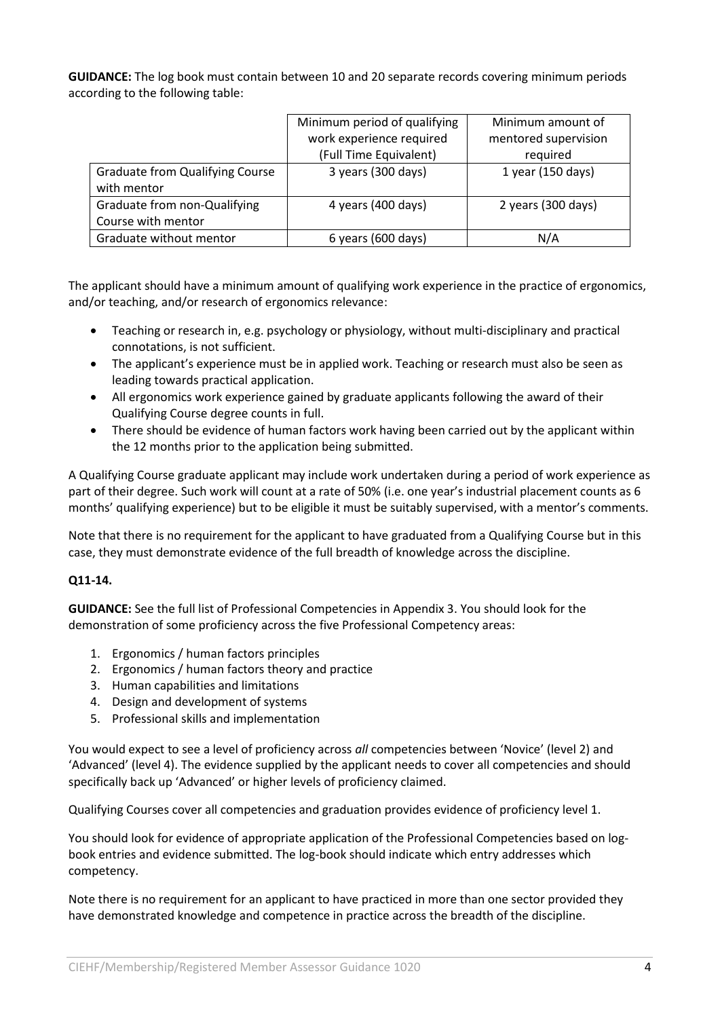**GUIDANCE:** The log book must contain between 10 and 20 separate records covering minimum periods according to the following table:

|                                        | Minimum period of qualifying | Minimum amount of    |
|----------------------------------------|------------------------------|----------------------|
|                                        | work experience required     | mentored supervision |
|                                        | (Full Time Equivalent)       | required             |
| <b>Graduate from Qualifying Course</b> | 3 years (300 days)           | 1 year (150 days)    |
| with mentor                            |                              |                      |
| Graduate from non-Qualifying           | 4 years (400 days)           | 2 years (300 days)   |
| Course with mentor                     |                              |                      |
| Graduate without mentor                | 6 years (600 days)           | N/A                  |

The applicant should have a minimum amount of qualifying work experience in the practice of ergonomics, and/or teaching, and/or research of ergonomics relevance:

- Teaching or research in, e.g. psychology or physiology, without multi-disciplinary and practical connotations, is not sufficient.
- The applicant's experience must be in applied work. Teaching or research must also be seen as leading towards practical application.
- All ergonomics work experience gained by graduate applicants following the award of their Qualifying Course degree counts in full.
- There should be evidence of human factors work having been carried out by the applicant within the 12 months prior to the application being submitted.

A Qualifying Course graduate applicant may include work undertaken during a period of work experience as part of their degree. Such work will count at a rate of 50% (i.e. one year's industrial placement counts as 6 months' qualifying experience) but to be eligible it must be suitably supervised, with a mentor's comments.

Note that there is no requirement for the applicant to have graduated from a Qualifying Course but in this case, they must demonstrate evidence of the full breadth of knowledge across the discipline.

## **Q11-14.**

**GUIDANCE:** See the full list of Professional Competencies in Appendix 3. You should look for the demonstration of some proficiency across the five Professional Competency areas:

- 1. Ergonomics / human factors principles
- 2. Ergonomics / human factors theory and practice
- 3. Human capabilities and limitations
- 4. Design and development of systems
- 5. Professional skills and implementation

You would expect to see a level of proficiency across *all* competencies between 'Novice' (level 2) and 'Advanced' (level 4). The evidence supplied by the applicant needs to cover all competencies and should specifically back up 'Advanced' or higher levels of proficiency claimed.

Qualifying Courses cover all competencies and graduation provides evidence of proficiency level 1.

You should look for evidence of appropriate application of the Professional Competencies based on logbook entries and evidence submitted. The log-book should indicate which entry addresses which competency.

Note there is no requirement for an applicant to have practiced in more than one sector provided they have demonstrated knowledge and competence in practice across the breadth of the discipline.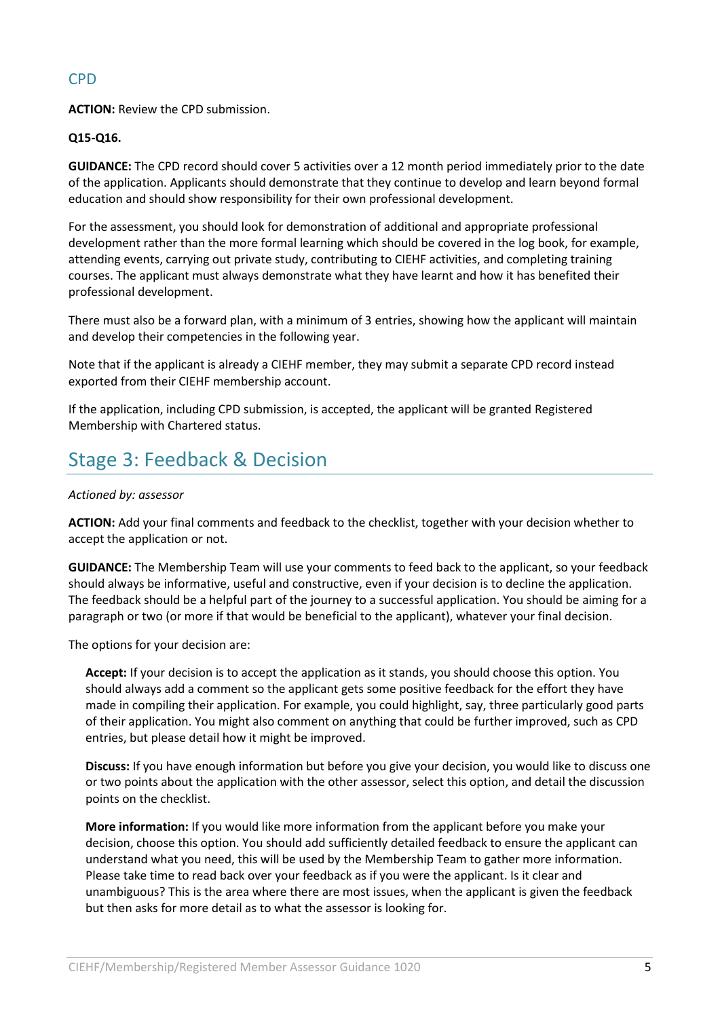## CPD

**ACTION:** Review the CPD submission.

## **Q15-Q16.**

**GUIDANCE:** The CPD record should cover 5 activities over a 12 month period immediately prior to the date of the application. Applicants should demonstrate that they continue to develop and learn beyond formal education and should show responsibility for their own professional development.

For the assessment, you should look for demonstration of additional and appropriate professional development rather than the more formal learning which should be covered in the log book, for example, attending events, carrying out private study, contributing to CIEHF activities, and completing training courses. The applicant must always demonstrate what they have learnt and how it has benefited their professional development.

There must also be a forward plan, with a minimum of 3 entries, showing how the applicant will maintain and develop their competencies in the following year.

Note that if the applicant is already a CIEHF member, they may submit a separate CPD record instead exported from their CIEHF membership account.

If the application, including CPD submission, is accepted, the applicant will be granted Registered Membership with Chartered status.

## Stage 3: Feedback & Decision

### *Actioned by: assessor*

**ACTION:** Add your final comments and feedback to the checklist, together with your decision whether to accept the application or not.

**GUIDANCE:** The Membership Team will use your comments to feed back to the applicant, so your feedback should always be informative, useful and constructive, even if your decision is to decline the application. The feedback should be a helpful part of the journey to a successful application. You should be aiming for a paragraph or two (or more if that would be beneficial to the applicant), whatever your final decision.

The options for your decision are:

**Accept:** If your decision is to accept the application as it stands, you should choose this option. You should always add a comment so the applicant gets some positive feedback for the effort they have made in compiling their application. For example, you could highlight, say, three particularly good parts of their application. You might also comment on anything that could be further improved, such as CPD entries, but please detail how it might be improved.

**Discuss:** If you have enough information but before you give your decision, you would like to discuss one or two points about the application with the other assessor, select this option, and detail the discussion points on the checklist.

**More information:** If you would like more information from the applicant before you make your decision, choose this option. You should add sufficiently detailed feedback to ensure the applicant can understand what you need, this will be used by the Membership Team to gather more information. Please take time to read back over your feedback as if you were the applicant. Is it clear and unambiguous? This is the area where there are most issues, when the applicant is given the feedback but then asks for more detail as to what the assessor is looking for.